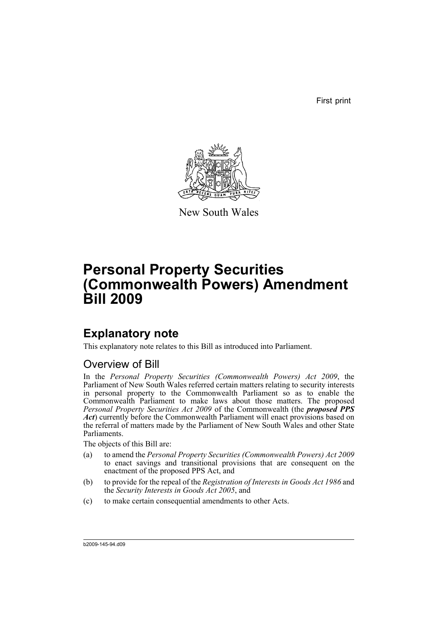First print



New South Wales

# **Personal Property Securities (Commonwealth Powers) Amendment Bill 2009**

# **Explanatory note**

This explanatory note relates to this Bill as introduced into Parliament.

# Overview of Bill

In the *Personal Property Securities (Commonwealth Powers) Act 2009*, the Parliament of New South Wales referred certain matters relating to security interests in personal property to the Commonwealth Parliament so as to enable the Commonwealth Parliament to make laws about those matters. The proposed *Personal Property Securities Act 2009* of the Commonwealth (the *proposed PPS Act*) currently before the Commonwealth Parliament will enact provisions based on the referral of matters made by the Parliament of New South Wales and other State Parliaments.

The objects of this Bill are:

- (a) to amend the *Personal Property Securities (Commonwealth Powers) Act 2009* to enact savings and transitional provisions that are consequent on the enactment of the proposed PPS Act, and
- (b) to provide for the repeal of the *Registration of Interests in Goods Act 1986* and the *Security Interests in Goods Act 2005*, and
- (c) to make certain consequential amendments to other Acts.

b2009-145-94.d09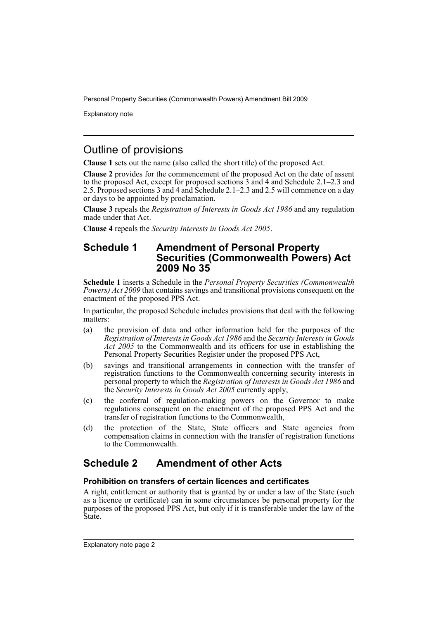Explanatory note

# Outline of provisions

**Clause 1** sets out the name (also called the short title) of the proposed Act.

**Clause 2** provides for the commencement of the proposed Act on the date of assent to the proposed Act, except for proposed sections  $3$  and  $4$  and Schedule 2.1–2.3 and 2.5. Proposed sections 3 and 4 and Schedule 2.1–2.3 and 2.5 will commence on a day or days to be appointed by proclamation.

**Clause 3** repeals the *Registration of Interests in Goods Act 1986* and any regulation made under that Act.

**Clause 4** repeals the *Security Interests in Goods Act 2005*.

# **Schedule 1 Amendment of Personal Property Securities (Commonwealth Powers) Act 2009 No 35**

**Schedule 1** inserts a Schedule in the *Personal Property Securities (Commonwealth Powers) Act 2009* that contains savings and transitional provisions consequent on the enactment of the proposed PPS Act.

In particular, the proposed Schedule includes provisions that deal with the following matters:

- (a) the provision of data and other information held for the purposes of the *Registration of Interests in Goods Act 1986* and the *Security Interests in Goods Act 2005* to the Commonwealth and its officers for use in establishing the Personal Property Securities Register under the proposed PPS Act,
- (b) savings and transitional arrangements in connection with the transfer of registration functions to the Commonwealth concerning security interests in personal property to which the *Registration of Interests in Goods Act 1986* and the *Security Interests in Goods Act 2005* currently apply,
- (c) the conferral of regulation-making powers on the Governor to make regulations consequent on the enactment of the proposed PPS Act and the transfer of registration functions to the Commonwealth,
- (d) the protection of the State, State officers and State agencies from compensation claims in connection with the transfer of registration functions to the Commonwealth.

# **Schedule 2 Amendment of other Acts**

# **Prohibition on transfers of certain licences and certificates**

A right, entitlement or authority that is granted by or under a law of the State (such as a licence or certificate) can in some circumstances be personal property for the purposes of the proposed PPS Act, but only if it is transferable under the law of the State.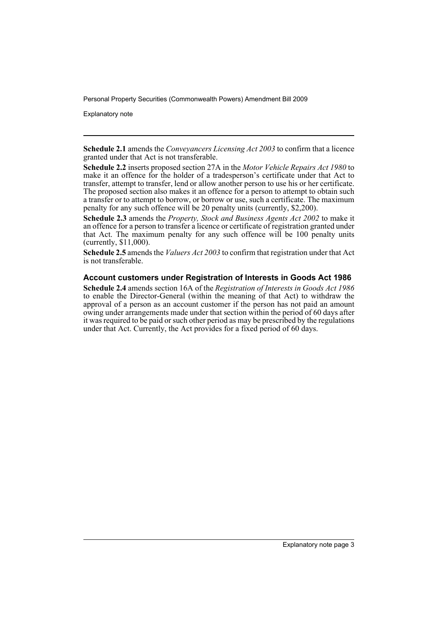Explanatory note

**Schedule 2.1** amends the *Conveyancers Licensing Act 2003* to confirm that a licence granted under that Act is not transferable.

**Schedule 2.2** inserts proposed section 27A in the *Motor Vehicle Repairs Act 1980* to make it an offence for the holder of a tradesperson's certificate under that Act to transfer, attempt to transfer, lend or allow another person to use his or her certificate. The proposed section also makes it an offence for a person to attempt to obtain such a transfer or to attempt to borrow, or borrow or use, such a certificate. The maximum penalty for any such offence will be 20 penalty units (currently, \$2,200).

**Schedule 2.3** amends the *Property, Stock and Business Agents Act 2002* to make it an offence for a person to transfer a licence or certificate of registration granted under that Act. The maximum penalty for any such offence will be 100 penalty units (currently, \$11,000).

**Schedule 2.5** amends the *Valuers Act 2003* to confirm that registration under that Act is not transferable.

### **Account customers under Registration of Interests in Goods Act 1986**

**Schedule 2.4** amends section 16A of the *Registration of Interests in Goods Act 1986* to enable the Director-General (within the meaning of that Act) to withdraw the approval of a person as an account customer if the person has not paid an amount owing under arrangements made under that section within the period of 60 days after it was required to be paid or such other period as may be prescribed by the regulations under that Act. Currently, the Act provides for a fixed period of 60 days.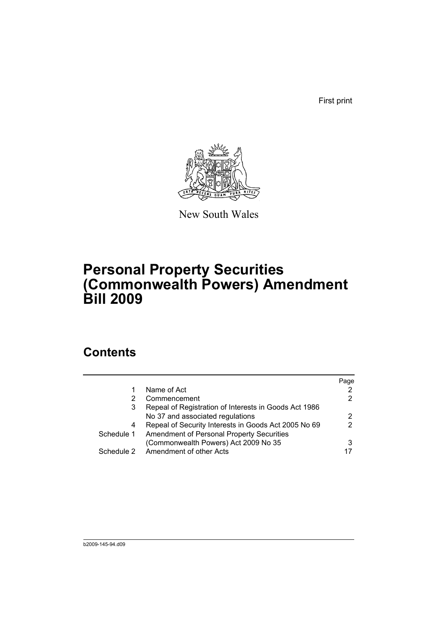First print



New South Wales

# **Personal Property Securities (Commonwealth Powers) Amendment Bill 2009**

# **Contents**

|            |                                                       | Page |
|------------|-------------------------------------------------------|------|
|            | Name of Act                                           |      |
| 2          | Commencement                                          | 2    |
| 3          | Repeal of Registration of Interests in Goods Act 1986 |      |
|            | No 37 and associated regulations                      |      |
| 4          | Repeal of Security Interests in Goods Act 2005 No 69  | 2    |
| Schedule 1 | Amendment of Personal Property Securities             |      |
|            | (Commonwealth Powers) Act 2009 No 35                  |      |
|            | Schedule 2 Amendment of other Acts                    |      |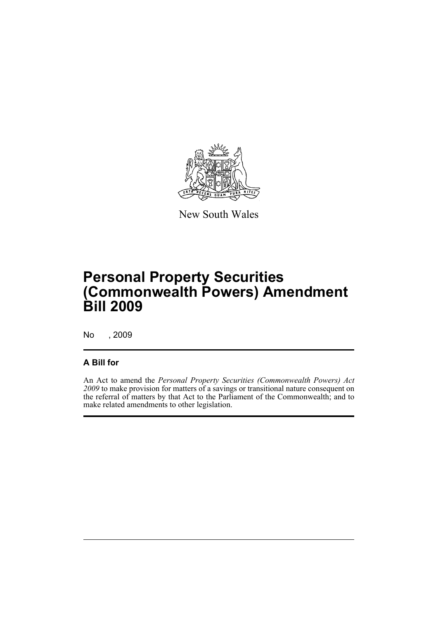

New South Wales

# **Personal Property Securities (Commonwealth Powers) Amendment Bill 2009**

No , 2009

# **A Bill for**

An Act to amend the *Personal Property Securities (Commonwealth Powers) Act 2009* to make provision for matters of a savings or transitional nature consequent on the referral of matters by that Act to the Parliament of the Commonwealth; and to make related amendments to other legislation.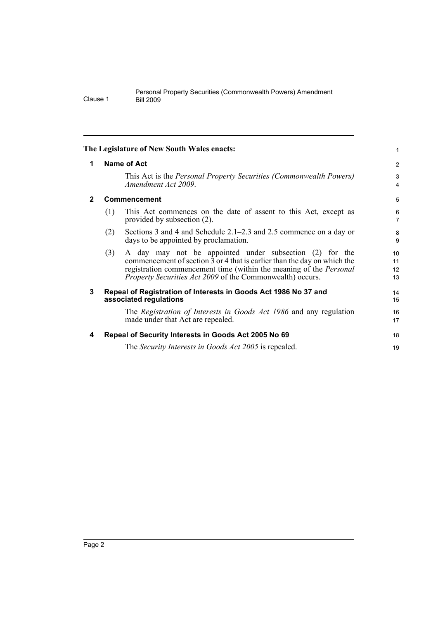<span id="page-7-3"></span><span id="page-7-2"></span><span id="page-7-1"></span><span id="page-7-0"></span>

|              |                    | The Legislature of New South Wales enacts:                                                                                                                                                                                                                                                        | 1                    |  |  |
|--------------|--------------------|---------------------------------------------------------------------------------------------------------------------------------------------------------------------------------------------------------------------------------------------------------------------------------------------------|----------------------|--|--|
| 1            | <b>Name of Act</b> |                                                                                                                                                                                                                                                                                                   |                      |  |  |
|              |                    | This Act is the <i>Personal Property Securities (Commonwealth Powers)</i><br>Amendment Act 2009.                                                                                                                                                                                                  | 3<br>4               |  |  |
| $\mathbf{2}$ |                    | <b>Commencement</b>                                                                                                                                                                                                                                                                               | 5                    |  |  |
|              | (1)                | This Act commences on the date of assent to this Act, except as<br>provided by subsection (2).                                                                                                                                                                                                    | 6<br>7               |  |  |
|              | (2)                | Sections 3 and 4 and Schedule 2.1–2.3 and 2.5 commence on a day or<br>days to be appointed by proclamation.                                                                                                                                                                                       | 8<br>9               |  |  |
|              | (3)                | A day may not be appointed under subsection (2) for the<br>commencement of section $\overline{3}$ or 4 that is earlier than the day on which the<br>registration commencement time (within the meaning of the <i>Personal</i><br><i>Property Securities Act 2009</i> of the Commonwealth) occurs. | 10<br>11<br>12<br>13 |  |  |
| 3            |                    | Repeal of Registration of Interests in Goods Act 1986 No 37 and<br>associated regulations                                                                                                                                                                                                         | 14<br>15             |  |  |
|              |                    | The Registration of Interests in Goods Act 1986 and any regulation<br>made under that Act are repealed.                                                                                                                                                                                           | 16<br>17             |  |  |
| 4            |                    | Repeal of Security Interests in Goods Act 2005 No 69                                                                                                                                                                                                                                              | 18                   |  |  |
|              |                    | The <i>Security Interests in Goods Act 2005</i> is repealed.                                                                                                                                                                                                                                      | 19                   |  |  |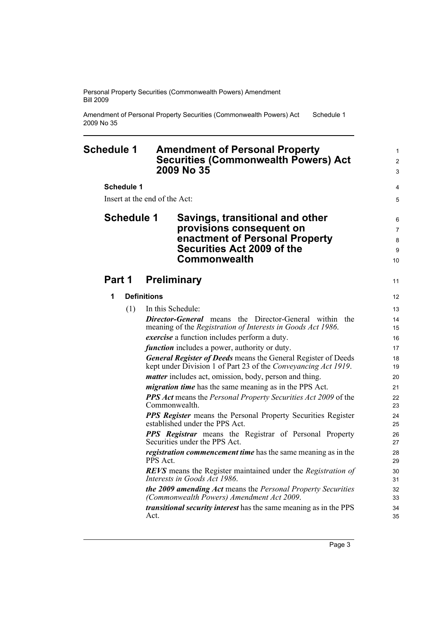Amendment of Personal Property Securities (Commonwealth Powers) Act 2009 No 35 Schedule 1

<span id="page-8-0"></span>

| <b>Schedule 1</b>       | <b>Amendment of Personal Property</b><br><b>Securities (Commonwealth Powers) Act</b><br>2009 No 35                                                        | $\mathbf{1}$<br>$\overline{2}$<br>3 |
|-------------------------|-----------------------------------------------------------------------------------------------------------------------------------------------------------|-------------------------------------|
| <b>Schedule 1</b>       |                                                                                                                                                           | 4                                   |
|                         | Insert at the end of the Act:                                                                                                                             | 5                                   |
| <b>Schedule 1</b>       | Savings, transitional and other<br>provisions consequent on<br>enactment of Personal Property<br><b>Securities Act 2009 of the</b><br><b>Commonwealth</b> | 6<br>$\overline{7}$<br>8<br>9<br>10 |
| Part 1                  | <b>Preliminary</b>                                                                                                                                        | 11                                  |
| 1<br><b>Definitions</b> |                                                                                                                                                           | 12                                  |
| (1)                     | In this Schedule:                                                                                                                                         | 13                                  |
|                         | <b>Director-General</b> means the Director-General within the                                                                                             | 14                                  |
|                         | meaning of the Registration of Interests in Goods Act 1986.                                                                                               | 15                                  |
|                         | <i>exercise</i> a function includes perform a duty.                                                                                                       | 16                                  |
|                         | <i>function</i> includes a power, authority or duty.                                                                                                      | 17                                  |
|                         | <b>General Register of Deeds</b> means the General Register of Deeds<br>kept under Division 1 of Part 23 of the Conveyancing Act 1919.                    | 18<br>19                            |
|                         | <i>matter</i> includes act, omission, body, person and thing.                                                                                             | 20                                  |
|                         | <i>migration time</i> has the same meaning as in the PPS Act.                                                                                             | 21                                  |
|                         | <b>PPS</b> Act means the Personal Property Securities Act 2009 of the<br>Commonwealth.                                                                    | 22<br>23                            |
|                         | <b>PPS Register</b> means the Personal Property Securities Register<br>established under the PPS Act.                                                     | 24<br>25                            |
|                         | <b>PPS</b> Registrar means the Registrar of Personal Property<br>Securities under the PPS Act.                                                            | 26<br>27                            |
|                         | <i>registration commencement time</i> has the same meaning as in the<br>PPS Act.                                                                          | 28<br>29                            |
|                         | <b>REVS</b> means the Register maintained under the Registration of<br>Interests in Goods Act 1986.                                                       | 30<br>31                            |
|                         | the 2009 amending Act means the Personal Property Securities<br>(Commonwealth Powers) Amendment Act 2009.                                                 | 32<br>33                            |
|                         | <i>transitional security interest</i> has the same meaning as in the PPS<br>Act.                                                                          | 34<br>35                            |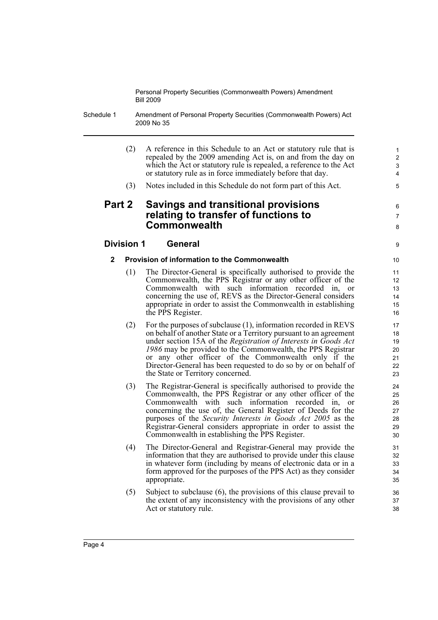Schedule 1 Amendment of Personal Property Securities (Commonwealth Powers) Act 2009 No 35

- (2) A reference in this Schedule to an Act or statutory rule that is repealed by the 2009 amending Act is, on and from the day on which the Act or statutory rule is repealed, a reference to the Act or statutory rule as in force immediately before that day.
- (3) Notes included in this Schedule do not form part of this Act.

# **Part 2 Savings and transitional provisions relating to transfer of functions to Commonwealth**

# **Division 1 General**

## **2 Provision of information to the Commonwealth**

- (1) The Director-General is specifically authorised to provide the Commonwealth, the PPS Registrar or any other officer of the Commonwealth with such information recorded in, or concerning the use of, REVS as the Director-General considers appropriate in order to assist the Commonwealth in establishing the PPS Register.
- (2) For the purposes of subclause (1), information recorded in REVS on behalf of another State or a Territory pursuant to an agreement under section 15A of the *Registration of Interests in Goods Act 1986* may be provided to the Commonwealth, the PPS Registrar or any other officer of the Commonwealth only if the Director-General has been requested to do so by or on behalf of the State or Territory concerned.
- (3) The Registrar-General is specifically authorised to provide the Commonwealth, the PPS Registrar or any other officer of the Commonwealth with such information recorded in, or concerning the use of, the General Register of Deeds for the purposes of the *Security Interests in Goods Act 2005* as the Registrar-General considers appropriate in order to assist the Commonwealth in establishing the PPS Register.
- (4) The Director-General and Registrar-General may provide the information that they are authorised to provide under this clause in whatever form (including by means of electronic data or in a form approved for the purposes of the PPS Act) as they consider appropriate.
- (5) Subject to subclause (6), the provisions of this clause prevail to the extent of any inconsistency with the provisions of any other Act or statutory rule.

8 9

6 7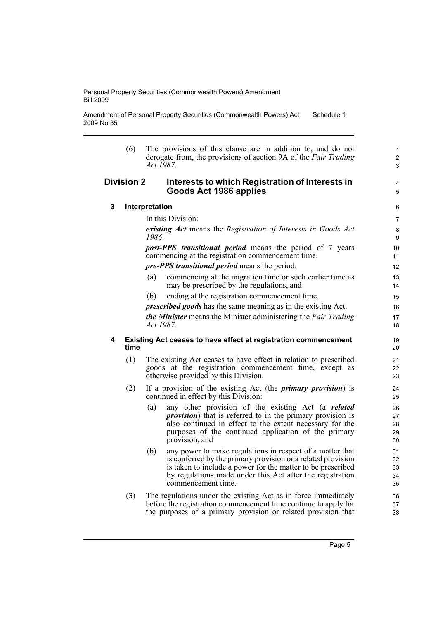Amendment of Personal Property Securities (Commonwealth Powers) Act 2009 No 35 Schedule 1

|   | (6)        | The provisions of this clause are in addition to, and do not<br>derogate from, the provisions of section 9A of the Fair Trading<br><i>Act</i> 1987. |
|---|------------|-----------------------------------------------------------------------------------------------------------------------------------------------------|
|   | Division 2 | Interests to which Registration of Interests in<br>Goods Act 1986 applies                                                                           |
| 3 |            | Interpretation                                                                                                                                      |
|   |            | In this Division:                                                                                                                                   |
|   |            | existing Act means the Registration of Interests in Goods Act<br>1986.                                                                              |
|   |            | <i>post-PPS transitional period</i> means the period of 7 years<br>commencing at the registration commencement time.                                |

*pre-PPS transitional period* means the period:

- (a) commencing at the migration time or such earlier time as may be prescribed by the regulations, and
- (b) ending at the registration commencement time.

*prescribed goods* has the same meaning as in the existing Act. *the Minister* means the Minister administering the *Fair Trading Act 1987*.

### **4 Existing Act ceases to have effect at registration commencement time**

- (1) The existing Act ceases to have effect in relation to prescribed goods at the registration commencement time, except as otherwise provided by this Division.
- (2) If a provision of the existing Act (the *primary provision*) is continued in effect by this Division:
	- (a) any other provision of the existing Act (a *related provision*) that is referred to in the primary provision is also continued in effect to the extent necessary for the purposes of the continued application of the primary provision, and
	- (b) any power to make regulations in respect of a matter that is conferred by the primary provision or a related provision is taken to include a power for the matter to be prescribed by regulations made under this Act after the registration commencement time.
- (3) The regulations under the existing Act as in force immediately before the registration commencement time continue to apply for the purposes of a primary provision or related provision that

1 2 3

4 5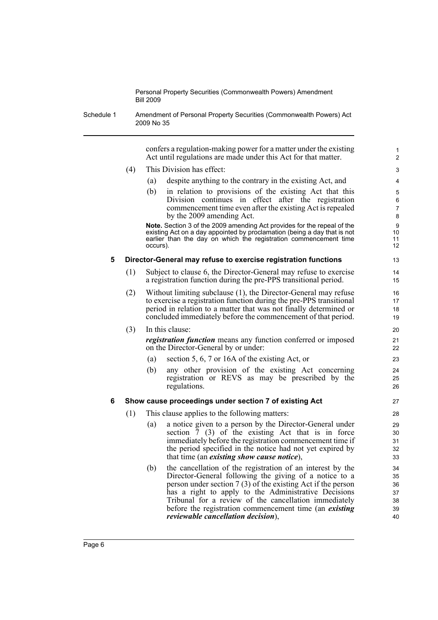Schedule 1 Amendment of Personal Property Securities (Commonwealth Powers) Act 2009 No 35

> confers a regulation-making power for a matter under the existing Act until regulations are made under this Act for that matter.

- (4) This Division has effect:
	- (a) despite anything to the contrary in the existing Act, and
	- (b) in relation to provisions of the existing Act that this Division continues in effect after the registration commencement time even after the existing Act is repealed by the 2009 amending Act.

**Note.** Section 3 of the 2009 amending Act provides for the repeal of the existing Act on a day appointed by proclamation (being a day that is not earlier than the day on which the registration commencement time occurs).

#### **5 Director-General may refuse to exercise registration functions**

- (1) Subject to clause 6, the Director-General may refuse to exercise a registration function during the pre-PPS transitional period.
- (2) Without limiting subclause (1), the Director-General may refuse to exercise a registration function during the pre-PPS transitional period in relation to a matter that was not finally determined or concluded immediately before the commencement of that period.

(3) In this clause: *registration function* means any function conferred or imposed on the Director-General by or under:

- (a) section 5, 6, 7 or 16A of the existing Act, or
- (b) any other provision of the existing Act concerning registration or REVS as may be prescribed by the regulations.

### **6 Show cause proceedings under section 7 of existing Act**

- (1) This clause applies to the following matters:
	- (a) a notice given to a person by the Director-General under section  $\frac{7}{7}$  (3) of the existing Act that is in force immediately before the registration commencement time if the period specified in the notice had not yet expired by that time (an *existing show cause notice*),
	- (b) the cancellation of the registration of an interest by the Director-General following the giving of a notice to a person under section 7 (3) of the existing Act if the person has a right to apply to the Administrative Decisions Tribunal for a review of the cancellation immediately before the registration commencement time (an *existing reviewable cancellation decision*),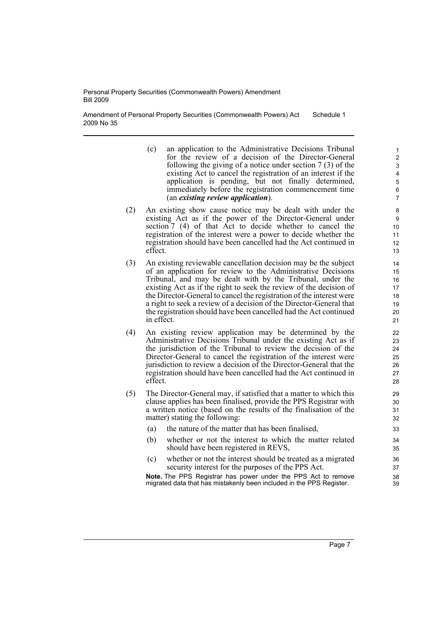Amendment of Personal Property Securities (Commonwealth Powers) Act 2009 No 35 Schedule 1

- (c) an application to the Administrative Decisions Tribunal for the review of a decision of the Director-General following the giving of a notice under section 7 (3) of the existing Act to cancel the registration of an interest if the application is pending, but not finally determined, immediately before the registration commencement time (an *existing review application*).
- (2) An existing show cause notice may be dealt with under the existing Act as if the power of the Director-General under section 7 (4) of that Act to decide whether to cancel the registration of the interest were a power to decide whether the registration should have been cancelled had the Act continued in effect.
- (3) An existing reviewable cancellation decision may be the subject of an application for review to the Administrative Decisions Tribunal, and may be dealt with by the Tribunal, under the existing Act as if the right to seek the review of the decision of the Director-General to cancel the registration of the interest were a right to seek a review of a decision of the Director-General that the registration should have been cancelled had the Act continued in effect.
- (4) An existing review application may be determined by the Administrative Decisions Tribunal under the existing Act as if the jurisdiction of the Tribunal to review the decision of the Director-General to cancel the registration of the interest were jurisdiction to review a decision of the Director-General that the registration should have been cancelled had the Act continued in effect.
- (5) The Director-General may, if satisfied that a matter to which this clause applies has been finalised, provide the PPS Registrar with a written notice (based on the results of the finalisation of the matter) stating the following:
	- (a) the nature of the matter that has been finalised,
	- (b) whether or not the interest to which the matter related should have been registered in REVS,
	- (c) whether or not the interest should be treated as a migrated security interest for the purposes of the PPS Act.

**Note.** The PPS Registrar has power under the PPS Act to remove migrated data that has mistakenly been included in the PPS Register.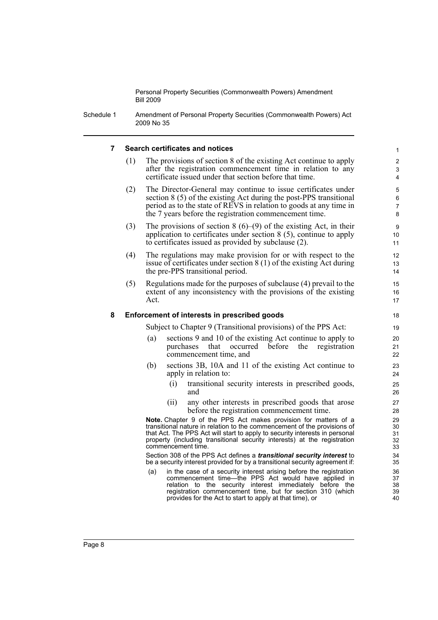Schedule 1 Amendment of Personal Property Securities (Commonwealth Powers) Act 2009 No 35

#### **7 Search certificates and notices**

(1) The provisions of section 8 of the existing Act continue to apply after the registration commencement time in relation to any certificate issued under that section before that time.

- (2) The Director-General may continue to issue certificates under section 8 (5) of the existing Act during the post-PPS transitional period as to the state of REVS in relation to goods at any time in the 7 years before the registration commencement time.
- (3) The provisions of section  $8(6)$ – $(9)$  of the existing Act, in their application to certificates under section 8 (5), continue to apply to certificates issued as provided by subclause (2).
- (4) The regulations may make provision for or with respect to the issue of certificates under section 8 (1) of the existing Act during the pre-PPS transitional period.
- (5) Regulations made for the purposes of subclause (4) prevail to the extent of any inconsistency with the provisions of the existing Act.

#### **8 Enforcement of interests in prescribed goods**

Subject to Chapter 9 (Transitional provisions) of the PPS Act:

- (a) sections 9 and 10 of the existing Act continue to apply to purchases that occurred before the registration commencement time, and
- (b) sections 3B, 10A and 11 of the existing Act continue to apply in relation to:
	- (i) transitional security interests in prescribed goods, and
	- (ii) any other interests in prescribed goods that arose before the registration commencement time.

**Note.** Chapter 9 of the PPS Act makes provision for matters of a transitional nature in relation to the commencement of the provisions of that Act. The PPS Act will start to apply to security interests in personal property (including transitional security interests) at the registration commencement time.

Section 308 of the PPS Act defines a *transitional security interest* to be a security interest provided for by a transitional security agreement if:

(a) in the case of a security interest arising before the registration commencement time—the PPS Act would have applied in relation to the security interest immediately before the registration commencement time, but for section 310 (which provides for the Act to start to apply at that time), or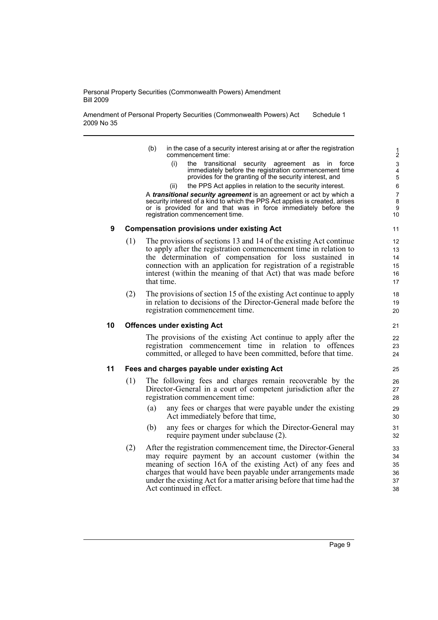Amendment of Personal Property Securities (Commonwealth Powers) Act 2009 No 35 Schedule 1

- (b) in the case of a security interest arising at or after the registration commencement time:
	- (i) the transitional security agreement as in force immediately before the registration commencement time provides for the granting of the security interest, and
	- (ii) the PPS Act applies in relation to the security interest.

A *transitional security agreement* is an agreement or act by which a security interest of a kind to which the PPS Act applies is created, arises or is provided for and that was in force immediately before the registration commencement time.

#### **9 Compensation provisions under existing Act**

- (1) The provisions of sections 13 and 14 of the existing Act continue to apply after the registration commencement time in relation to the determination of compensation for loss sustained in connection with an application for registration of a registrable interest (within the meaning of that Act) that was made before that time.
- (2) The provisions of section 15 of the existing Act continue to apply in relation to decisions of the Director-General made before the registration commencement time.

## **10 Offences under existing Act**

The provisions of the existing Act continue to apply after the registration commencement time in relation to offences committed, or alleged to have been committed, before that time.

## **11 Fees and charges payable under existing Act**

- (1) The following fees and charges remain recoverable by the Director-General in a court of competent jurisdiction after the registration commencement time:
	- (a) any fees or charges that were payable under the existing Act immediately before that time,
	- (b) any fees or charges for which the Director-General may require payment under subclause (2).
- (2) After the registration commencement time, the Director-General may require payment by an account customer (within the meaning of section 16A of the existing Act) of any fees and charges that would have been payable under arrangements made under the existing Act for a matter arising before that time had the Act continued in effect.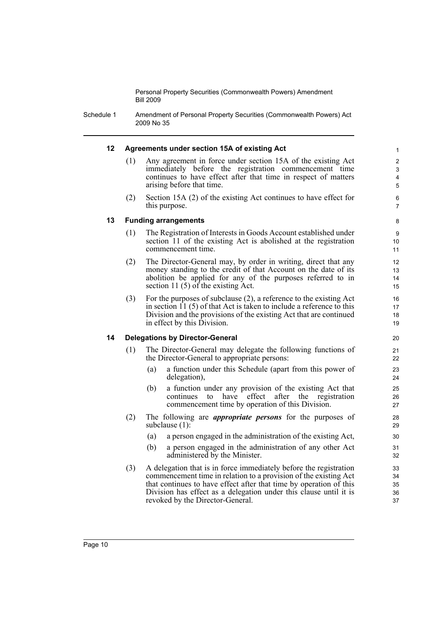Schedule 1 Amendment of Personal Property Securities (Commonwealth Powers) Act 2009 No 35

### **12 Agreements under section 15A of existing Act**

- (1) Any agreement in force under section 15A of the existing Act immediately before the registration commencement time continues to have effect after that time in respect of matters arising before that time.
- (2) Section 15A (2) of the existing Act continues to have effect for this purpose.

6 7 8

### **13 Funding arrangements**

- (1) The Registration of Interests in Goods Account established under section 11 of the existing Act is abolished at the registration commencement time.
- (2) The Director-General may, by order in writing, direct that any money standing to the credit of that Account on the date of its abolition be applied for any of the purposes referred to in section 11 (5) of the existing Act.
- (3) For the purposes of subclause (2), a reference to the existing Act in section  $11$  (5) of that Act is taken to include a reference to this Division and the provisions of the existing Act that are continued in effect by this Division.

#### **14 Delegations by Director-General**

- (1) The Director-General may delegate the following functions of the Director-General to appropriate persons:
	- (a) a function under this Schedule (apart from this power of delegation),
	- (b) a function under any provision of the existing Act that continues to have effect after the registration commencement time by operation of this Division.
- (2) The following are *appropriate persons* for the purposes of subclause (1):
	- (a) a person engaged in the administration of the existing Act,
	- (b) a person engaged in the administration of any other Act administered by the Minister.
- (3) A delegation that is in force immediately before the registration commencement time in relation to a provision of the existing Act that continues to have effect after that time by operation of this Division has effect as a delegation under this clause until it is revoked by the Director-General.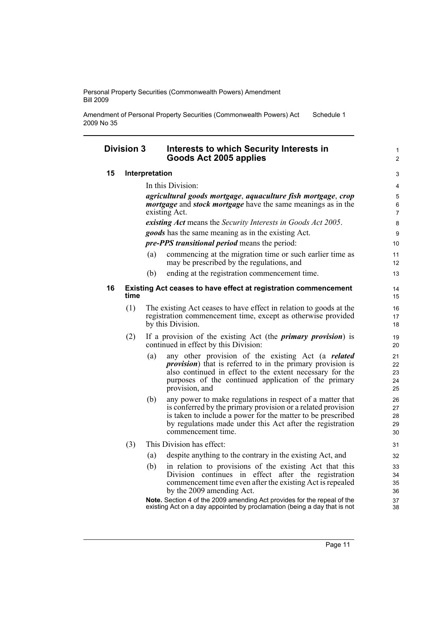Amendment of Personal Property Securities (Commonwealth Powers) Act 2009 No 35 Schedule 1

## **Division 3 Interests to which Security Interests in Goods Act 2005 applies**

### **15 Interpretation**

In this Division: *agricultural goods mortgage*, *aquaculture fish mortgage*, *crop mortgage* and *stock mortgage* have the same meanings as in the existing Act. *existing Act* means the *Security Interests in Goods Act 2005*. *goods* has the same meaning as in the existing Act.

*pre-PPS transitional period* means the period:

- (a) commencing at the migration time or such earlier time as may be prescribed by the regulations, and
- (b) ending at the registration commencement time.

#### **16 Existing Act ceases to have effect at registration commencement time**

- (1) The existing Act ceases to have effect in relation to goods at the registration commencement time, except as otherwise provided by this Division.
- (2) If a provision of the existing Act (the *primary provision*) is continued in effect by this Division:
	- (a) any other provision of the existing Act (a *related provision*) that is referred to in the primary provision is also continued in effect to the extent necessary for the purposes of the continued application of the primary provision, and
	- (b) any power to make regulations in respect of a matter that is conferred by the primary provision or a related provision is taken to include a power for the matter to be prescribed by regulations made under this Act after the registration commencement time.

## (3) This Division has effect:

- (a) despite anything to the contrary in the existing Act, and
- (b) in relation to provisions of the existing Act that this Division continues in effect after the registration commencement time even after the existing Act is repealed by the 2009 amending Act.

**Note.** Section 4 of the 2009 amending Act provides for the repeal of the existing Act on a day appointed by proclamation (being a day that is not

1  $\overline{2}$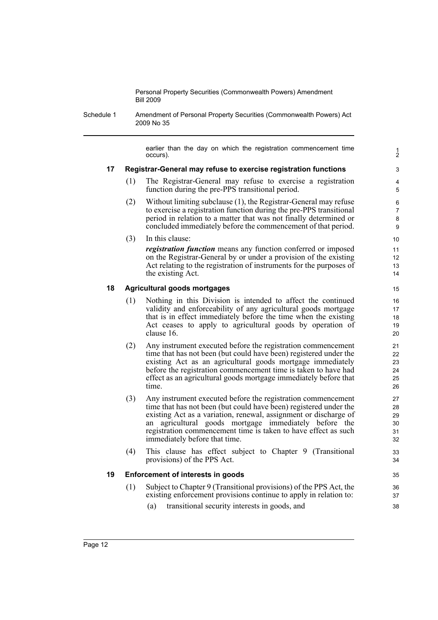Schedule 1 Amendment of Personal Property Securities (Commonwealth Powers) Act 2009 No 35

> earlier than the day on which the registration commencement time occurs).

1 2

## **17 Registrar-General may refuse to exercise registration functions**

- (1) The Registrar-General may refuse to exercise a registration function during the pre-PPS transitional period.
- (2) Without limiting subclause (1), the Registrar-General may refuse to exercise a registration function during the pre-PPS transitional period in relation to a matter that was not finally determined or concluded immediately before the commencement of that period.

(3) In this clause: *registration function* means any function conferred or imposed on the Registrar-General by or under a provision of the existing Act relating to the registration of instruments for the purposes of the existing Act.

## **18 Agricultural goods mortgages**

- (1) Nothing in this Division is intended to affect the continued validity and enforceability of any agricultural goods mortgage that is in effect immediately before the time when the existing Act ceases to apply to agricultural goods by operation of clause 16.
- (2) Any instrument executed before the registration commencement time that has not been (but could have been) registered under the existing Act as an agricultural goods mortgage immediately before the registration commencement time is taken to have had effect as an agricultural goods mortgage immediately before that time.
- (3) Any instrument executed before the registration commencement time that has not been (but could have been) registered under the existing Act as a variation, renewal, assignment or discharge of an agricultural goods mortgage immediately before the registration commencement time is taken to have effect as such immediately before that time.
- (4) This clause has effect subject to Chapter 9 (Transitional provisions) of the PPS Act.

## **19 Enforcement of interests in goods**

- (1) Subject to Chapter 9 (Transitional provisions) of the PPS Act, the existing enforcement provisions continue to apply in relation to:
	- (a) transitional security interests in goods, and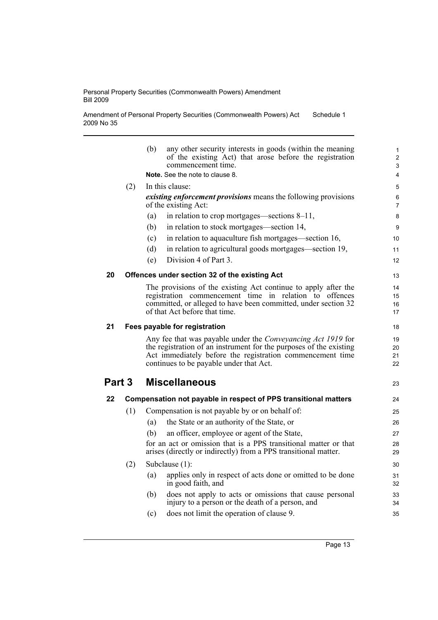Amendment of Personal Property Securities (Commonwealth Powers) Act 2009 No 35 Schedule 1

|                                |     | (b)<br>any other security interests in goods (within the meaning<br>of the existing Act) that arose before the registration<br>commencement time. | $\mathbf{1}$<br>$\overline{2}$<br>3 |  |  |  |  |
|--------------------------------|-----|---------------------------------------------------------------------------------------------------------------------------------------------------|-------------------------------------|--|--|--|--|
|                                |     | Note. See the note to clause 8.                                                                                                                   | 4                                   |  |  |  |  |
|                                | (2) | In this clause:                                                                                                                                   |                                     |  |  |  |  |
|                                |     | <i>existing enforcement provisions</i> means the following provisions<br>of the existing Act:                                                     | 6<br>$\overline{7}$                 |  |  |  |  |
|                                |     | in relation to crop mortgages—sections 8–11,<br>(a)                                                                                               | 8                                   |  |  |  |  |
|                                |     | in relation to stock mortgages—section 14,<br>(b)                                                                                                 | 9                                   |  |  |  |  |
|                                |     | in relation to aquaculture fish mortgages—section 16,<br>(c)                                                                                      | 10                                  |  |  |  |  |
|                                |     | (d)<br>in relation to agricultural goods mortgages—section 19,                                                                                    | 11                                  |  |  |  |  |
|                                |     | Division 4 of Part 3.<br>(e)                                                                                                                      | 12                                  |  |  |  |  |
| 20                             |     | Offences under section 32 of the existing Act                                                                                                     | 13                                  |  |  |  |  |
|                                |     | The provisions of the existing Act continue to apply after the                                                                                    | 14                                  |  |  |  |  |
|                                |     | registration commencement time in relation to offences                                                                                            | 15                                  |  |  |  |  |
|                                |     | committed, or alleged to have been committed, under section 32                                                                                    | 16                                  |  |  |  |  |
|                                |     | of that Act before that time.                                                                                                                     | 17                                  |  |  |  |  |
| 21                             |     | Fees payable for registration                                                                                                                     |                                     |  |  |  |  |
|                                |     | Any fee that was payable under the <i>Conveyancing Act 1919</i> for                                                                               | 19                                  |  |  |  |  |
|                                |     | the registration of an instrument for the purposes of the existing                                                                                | 20                                  |  |  |  |  |
|                                |     | Act immediately before the registration commencement time<br>continues to be payable under that Act.                                              | 21<br>22                            |  |  |  |  |
|                                |     |                                                                                                                                                   |                                     |  |  |  |  |
| Part 3<br><b>Miscellaneous</b> |     |                                                                                                                                                   | 23                                  |  |  |  |  |
| 22                             |     | Compensation not payable in respect of PPS transitional matters                                                                                   | 24                                  |  |  |  |  |
|                                | (1) | Compensation is not payable by or on behalf of:                                                                                                   | 25                                  |  |  |  |  |
|                                |     | the State or an authority of the State, or<br>(a)                                                                                                 | 26                                  |  |  |  |  |
|                                |     | an officer, employee or agent of the State,<br>(b)                                                                                                | 27                                  |  |  |  |  |
|                                |     | for an act or omission that is a PPS transitional matter or that                                                                                  |                                     |  |  |  |  |
|                                |     | arises (directly or indirectly) from a PPS transitional matter.                                                                                   |                                     |  |  |  |  |
|                                | (2) | Subclause (1):                                                                                                                                    | 30                                  |  |  |  |  |
|                                |     | applies only in respect of acts done or omitted to be done<br>(a)<br>in good faith, and                                                           | 31<br>32                            |  |  |  |  |
|                                |     | does not apply to acts or omissions that cause personal<br>(b)                                                                                    | 33                                  |  |  |  |  |
|                                |     | injury to a person or the death of a person, and                                                                                                  | 34                                  |  |  |  |  |
|                                |     | does not limit the operation of clause 9.<br>(c)                                                                                                  | 35                                  |  |  |  |  |
|                                |     |                                                                                                                                                   |                                     |  |  |  |  |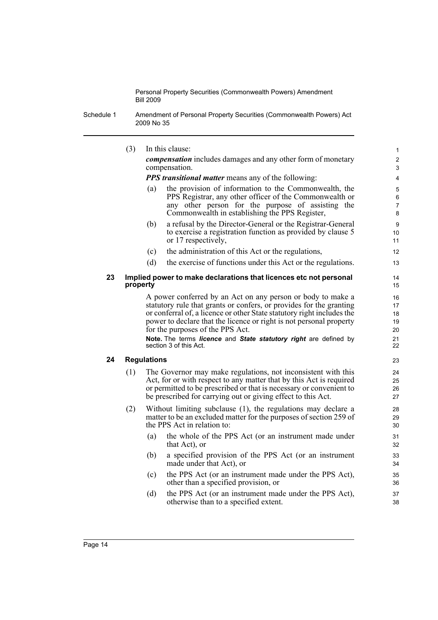Schedule 1 Amendment of Personal Property Securities (Commonwealth Powers) Act 2009 No 35

|    | (3)                                                                           |                    | In this clause:                                                                                                                                                                                                                                                                                                                                                                                                       | $\mathbf{1}$                           |
|----|-------------------------------------------------------------------------------|--------------------|-----------------------------------------------------------------------------------------------------------------------------------------------------------------------------------------------------------------------------------------------------------------------------------------------------------------------------------------------------------------------------------------------------------------------|----------------------------------------|
|    |                                                                               |                    | <i>compensation</i> includes damages and any other form of monetary<br>compensation.                                                                                                                                                                                                                                                                                                                                  | $\overline{c}$<br>3                    |
|    |                                                                               |                    | <b>PPS transitional matter means any of the following:</b>                                                                                                                                                                                                                                                                                                                                                            | 4                                      |
|    |                                                                               | (a)                | the provision of information to the Commonwealth, the<br>PPS Registrar, any other officer of the Commonwealth or<br>any other person for the purpose of assisting the<br>Commonwealth in establishing the PPS Register,                                                                                                                                                                                               | $\mathbf 5$<br>6<br>7<br>$\bf 8$       |
|    |                                                                               | (b)                | a refusal by the Director-General or the Registrar-General<br>to exercise a registration function as provided by clause 5<br>or 17 respectively,                                                                                                                                                                                                                                                                      | 9<br>10<br>11                          |
|    |                                                                               | (c)                | the administration of this Act or the regulations,                                                                                                                                                                                                                                                                                                                                                                    | 12                                     |
|    |                                                                               | (d)                | the exercise of functions under this Act or the regulations.                                                                                                                                                                                                                                                                                                                                                          | 13                                     |
| 23 | Implied power to make declarations that licences etc not personal<br>property |                    |                                                                                                                                                                                                                                                                                                                                                                                                                       |                                        |
|    |                                                                               |                    | A power conferred by an Act on any person or body to make a<br>statutory rule that grants or confers, or provides for the granting<br>or conferral of, a licence or other State statutory right includes the<br>power to declare that the licence or right is not personal property<br>for the purposes of the PPS Act.<br>Note. The terms licence and State statutory right are defined by<br>section 3 of this Act. | 16<br>17<br>18<br>19<br>20<br>21<br>22 |
| 24 |                                                                               | <b>Regulations</b> |                                                                                                                                                                                                                                                                                                                                                                                                                       | 23                                     |
|    | (1)                                                                           |                    | The Governor may make regulations, not inconsistent with this<br>Act, for or with respect to any matter that by this Act is required<br>or permitted to be prescribed or that is necessary or convenient to<br>be prescribed for carrying out or giving effect to this Act.                                                                                                                                           | 24<br>25<br>26<br>27                   |
|    | (2)                                                                           |                    | Without limiting subclause (1), the regulations may declare a<br>matter to be an excluded matter for the purposes of section 259 of<br>the PPS Act in relation to:                                                                                                                                                                                                                                                    | 28<br>29<br>30                         |
|    |                                                                               | (a)                | the whole of the PPS Act (or an instrument made under<br>that Act), or                                                                                                                                                                                                                                                                                                                                                | 31<br>32                               |
|    |                                                                               | (b)                | a specified provision of the PPS Act (or an instrument<br>made under that Act), or                                                                                                                                                                                                                                                                                                                                    | 33<br>34                               |
|    |                                                                               | (c)                | the PPS Act (or an instrument made under the PPS Act),<br>other than a specified provision, or                                                                                                                                                                                                                                                                                                                        | 35<br>36                               |
|    |                                                                               | (d)                | the PPS Act (or an instrument made under the PPS Act),<br>otherwise than to a specified extent.                                                                                                                                                                                                                                                                                                                       | 37<br>38                               |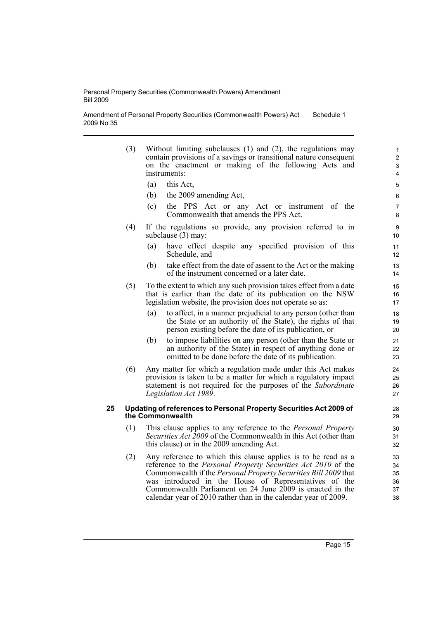Amendment of Personal Property Securities (Commonwealth Powers) Act 2009 No 35 Schedule 1

- (3) Without limiting subclauses (1) and (2), the regulations may contain provisions of a savings or transitional nature consequent on the enactment or making of the following Acts and instruments:
	- (a) this Act,
	- (b) the 2009 amending Act,
	- (c) the PPS Act or any Act or instrument of the Commonwealth that amends the PPS Act.
- (4) If the regulations so provide, any provision referred to in subclause (3) may:
	- (a) have effect despite any specified provision of this Schedule, and
	- (b) take effect from the date of assent to the Act or the making of the instrument concerned or a later date.
- (5) To the extent to which any such provision takes effect from a date that is earlier than the date of its publication on the NSW legislation website, the provision does not operate so as:
	- (a) to affect, in a manner prejudicial to any person (other than the State or an authority of the State), the rights of that person existing before the date of its publication, or
	- (b) to impose liabilities on any person (other than the State or an authority of the State) in respect of anything done or omitted to be done before the date of its publication.
- (6) Any matter for which a regulation made under this Act makes provision is taken to be a matter for which a regulatory impact statement is not required for the purposes of the *Subordinate Legislation Act 1989*.

#### **25 Updating of references to Personal Property Securities Act 2009 of the Commonwealth**

- (1) This clause applies to any reference to the *Personal Property Securities Act 2009* of the Commonwealth in this Act (other than this clause) or in the 2009 amending Act.
- (2) Any reference to which this clause applies is to be read as a reference to the *Personal Property Securities Act 2010* of the Commonwealth if the *Personal Property Securities Bill 2009* that was introduced in the House of Representatives of the Commonwealth Parliament on 24 June 2009 is enacted in the calendar year of 2010 rather than in the calendar year of 2009.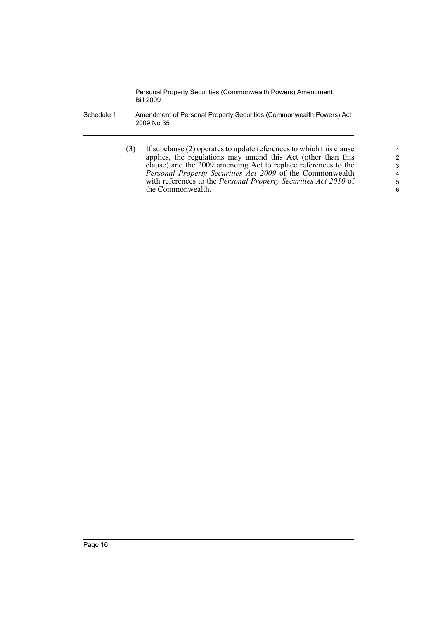- Schedule 1 Amendment of Personal Property Securities (Commonwealth Powers) Act 2009 No 35
	- (3) If subclause (2) operates to update references to which this clause applies, the regulations may amend this Act (other than this clause) and the 2009 amending Act to replace references to the *Personal Property Securities Act 2009* of the Commonwealth with references to the *Personal Property Securities Act 2010* of the Commonwealth.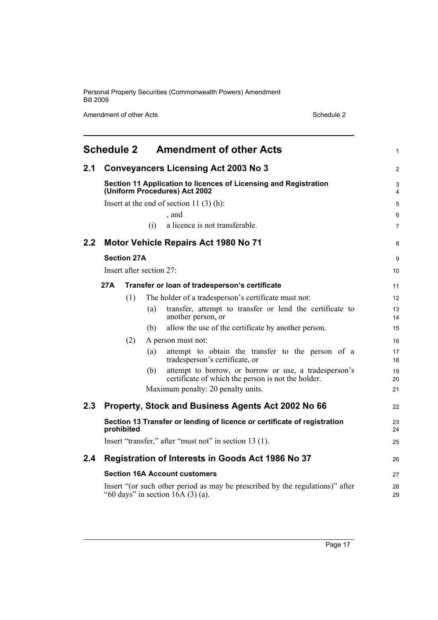Amendment of other Acts Schedule 2

<span id="page-22-0"></span>

|     | <b>Schedule 2</b>                                                                                                   |                    |                          | <b>Amendment of other Acts</b>                                                                              | 1        |
|-----|---------------------------------------------------------------------------------------------------------------------|--------------------|--------------------------|-------------------------------------------------------------------------------------------------------------|----------|
| 2.1 |                                                                                                                     |                    |                          | <b>Conveyancers Licensing Act 2003 No 3</b>                                                                 | 2        |
|     |                                                                                                                     |                    |                          | Section 11 Application to licences of Licensing and Registration<br>(Uniform Procedures) Act 2002           | 3<br>4   |
|     |                                                                                                                     |                    |                          | Insert at the end of section 11 $(3)$ (h):                                                                  | 5        |
|     |                                                                                                                     |                    |                          | , and                                                                                                       | 6        |
|     |                                                                                                                     |                    | (i)                      | a licence is not transferable.                                                                              | 7        |
| 2.2 |                                                                                                                     |                    |                          | Motor Vehicle Repairs Act 1980 No 71                                                                        | 8        |
|     |                                                                                                                     | <b>Section 27A</b> |                          |                                                                                                             | 9        |
|     |                                                                                                                     |                    | Insert after section 27: |                                                                                                             | 10       |
|     | 27A                                                                                                                 |                    |                          | Transfer or loan of tradesperson's certificate                                                              | 11       |
|     | The holder of a tradesperson's certificate must not:<br>(1)                                                         |                    |                          |                                                                                                             | 12       |
|     |                                                                                                                     |                    | (a)                      | transfer, attempt to transfer or lend the certificate to<br>another person, or                              | 13<br>14 |
|     |                                                                                                                     |                    | (b)                      | allow the use of the certificate by another person.                                                         | 15       |
|     |                                                                                                                     | (2)                |                          | A person must not:                                                                                          | 16       |
|     |                                                                                                                     |                    | (a)                      | attempt to obtain the transfer to the person of a<br>tradesperson's certificate, or                         | 17<br>18 |
|     |                                                                                                                     |                    | (b)                      | attempt to borrow, or borrow or use, a tradesperson's<br>certificate of which the person is not the holder. | 19<br>20 |
|     |                                                                                                                     |                    |                          | Maximum penalty: 20 penalty units.                                                                          | 21       |
| 2.3 |                                                                                                                     |                    |                          | Property, Stock and Business Agents Act 2002 No 66                                                          | 22       |
|     |                                                                                                                     | prohibited         |                          | Section 13 Transfer or lending of licence or certificate of registration                                    | 23<br>24 |
|     |                                                                                                                     |                    |                          | Insert "transfer," after "must not" in section 13 (1).                                                      | 25       |
| 2.4 |                                                                                                                     |                    |                          | <b>Registration of Interests in Goods Act 1986 No 37</b>                                                    | 26       |
|     |                                                                                                                     |                    |                          | <b>Section 16A Account customers</b>                                                                        | 27       |
|     | Insert "(or such other period as may be prescribed by the regulations)" after<br>"60 days" in section $16A(3)(a)$ . |                    |                          |                                                                                                             | 28<br>29 |